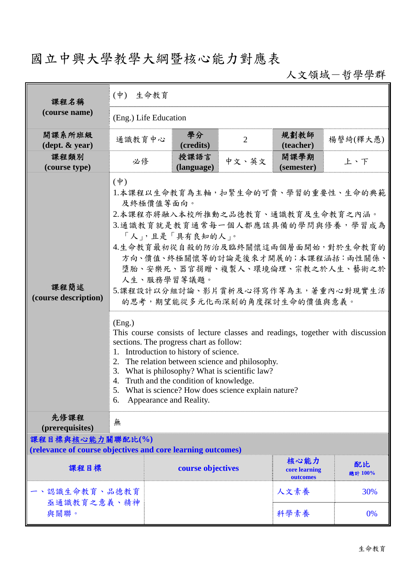## 國立中興大學教學大綱暨核心能力對應表

人文領域-哲學學群

| 課程名稱                                                        | 生命教育<br>$(\dot{\Psi})$                                                                                                                                                                                                                                                                                                                                                                                                                                                                                                                                                                                                                                                                                                                                                                 |                    |                |                                   |               |  |  |
|-------------------------------------------------------------|----------------------------------------------------------------------------------------------------------------------------------------------------------------------------------------------------------------------------------------------------------------------------------------------------------------------------------------------------------------------------------------------------------------------------------------------------------------------------------------------------------------------------------------------------------------------------------------------------------------------------------------------------------------------------------------------------------------------------------------------------------------------------------------|--------------------|----------------|-----------------------------------|---------------|--|--|
| (course name)                                               | (Eng.) Life Education                                                                                                                                                                                                                                                                                                                                                                                                                                                                                                                                                                                                                                                                                                                                                                  |                    |                |                                   |               |  |  |
| 開課系所班級<br>$(\text{dept.} \& \text{ year})$                  | 通識教育中心                                                                                                                                                                                                                                                                                                                                                                                                                                                                                                                                                                                                                                                                                                                                                                                 | 學分<br>(credits)    | $\overline{2}$ | 規劃教師<br>(teacher)                 | 楊謦綺(釋大愚)      |  |  |
| 課程類別<br>(course type)                                       | 必修                                                                                                                                                                                                                                                                                                                                                                                                                                                                                                                                                                                                                                                                                                                                                                                     | 授課語言<br>(language) | 中文、英文          | 開課學期<br>(semester)                | 上、下           |  |  |
| 課程簡述<br>(course description)                                | $(\phi)$<br>1.本課程以生命教育為主軸,扣緊生命的可貴、學習的重要性、生命的典範<br>及終極價值等面向。<br>2.本課程亦將融入本校所推動之品德教育、通識教育及生命教育之內涵。<br>3.通識教育就是教育通常每一個人都應該具備的學問與修養,學習成為<br>「人」,且是「具有良知的人」。<br>4.生命教育最初從自殺的防治及臨終關懷這兩個層面開始,對於生命教育的<br>方向、價值、終極關懷等的討論是後來才開展的;本課程涵括:兩性關係、<br>墮胎、安樂死、器官捐贈、複製人、環境倫理、宗教之於人生、藝術之於<br>人生、服務學習等議題。<br>5.課程設計以分組討論、影片賞析及心得寫作等為主,著重內心對現實生活<br>的思考,期望能從多元化而深刻的角度探討生命的價值與意義。<br>(Eng.)<br>This course consists of lecture classes and readings, together with discussion<br>sections. The progress chart as follow:<br>1. Introduction to history of science.<br>2. The relation between science and philosophy.<br>3. What is philosophy? What is scientific law?<br>4. Truth and the condition of knowledge.<br>5. What is science? How does science explain nature?<br>Appearance and Reality.<br>6. |                    |                |                                   |               |  |  |
| 先修課程<br>(prerequisites)<br>課程目標與核心能力關聯配比(%)                 | 無                                                                                                                                                                                                                                                                                                                                                                                                                                                                                                                                                                                                                                                                                                                                                                                      |                    |                |                                   |               |  |  |
| (relevance of course objectives and core learning outcomes) |                                                                                                                                                                                                                                                                                                                                                                                                                                                                                                                                                                                                                                                                                                                                                                                        |                    |                |                                   |               |  |  |
| 課程目標                                                        |                                                                                                                                                                                                                                                                                                                                                                                                                                                                                                                                                                                                                                                                                                                                                                                        | course objectives  |                | 核心能力<br>core learning<br>outcomes | 配比<br>總計 100% |  |  |
| 、認識生命教育、品德教育<br>亟通識教育之意義、精神                                 |                                                                                                                                                                                                                                                                                                                                                                                                                                                                                                                                                                                                                                                                                                                                                                                        |                    |                | 人文素養                              | 30%           |  |  |
| 與關聯。                                                        |                                                                                                                                                                                                                                                                                                                                                                                                                                                                                                                                                                                                                                                                                                                                                                                        |                    |                | 科學素養                              | $0\%$         |  |  |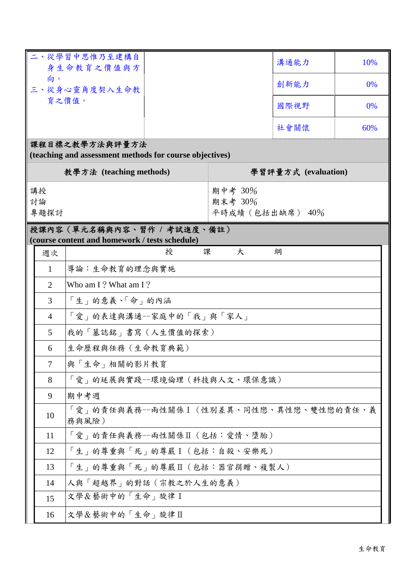| 二、從學習中思惟乃至建構自<br>身生命教育之價值與方<br>向。<br>三、從身心靈角度契入生命教      |                |                                                                              |                                        | 溝通能力 | 10% |  |  |  |
|---------------------------------------------------------|----------------|------------------------------------------------------------------------------|----------------------------------------|------|-----|--|--|--|
|                                                         |                |                                                                              |                                        | 創新能力 | 0%  |  |  |  |
|                                                         |                | 育之價值。                                                                        | 國際視野                                   | 0%   |     |  |  |  |
|                                                         |                |                                                                              | 社會關懷                                   | 60%  |     |  |  |  |
| 課程目標之教學方法與評量方法                                          |                |                                                                              |                                        |      |     |  |  |  |
| (teaching and assessment methods for course objectives) |                |                                                                              |                                        |      |     |  |  |  |
| 教學方法 (teaching methods)                                 |                |                                                                              | 學習評量方式 (evaluation)                    |      |     |  |  |  |
| 講授<br>討論<br>專題探討                                        |                |                                                                              | 期中考 30%<br>期末考 30%<br>平時成績 (包括出缺席) 40% |      |     |  |  |  |
|                                                         |                | 授課內容(單元名稱與內容、習作 / 考試進度、備註)<br>(course content and homework / tests schedule) |                                        |      |     |  |  |  |
|                                                         | 週次             | 授<br>課                                                                       | 大                                      | 綱    |     |  |  |  |
|                                                         | $\mathbf{1}$   | 導論:生命教育的理念與實施                                                                |                                        |      |     |  |  |  |
|                                                         | 2              | Who am I? What am I?                                                         |                                        |      |     |  |  |  |
|                                                         | 3              | 「生」的意義、「命」的內涵                                                                |                                        |      |     |  |  |  |
|                                                         | $\overline{4}$ | 「愛」的表達與溝通--家庭中的「我」與「家人」                                                      |                                        |      |     |  |  |  |
|                                                         | $\mathfrak{S}$ | 我的「墓誌銘」書寫(人生價值的探索)                                                           |                                        |      |     |  |  |  |
|                                                         | 6              | 生命歷程與任務(生命教育典範)                                                              |                                        |      |     |  |  |  |
|                                                         | 7              | 與「生命」相關的影片教育                                                                 |                                        |      |     |  |  |  |
|                                                         | 8              | 「愛」的延展與實踐--環境倫理(科技與人文、環保意識)                                                  |                                        |      |     |  |  |  |
|                                                         | 9              | 期中考週                                                                         |                                        |      |     |  |  |  |
|                                                         | 10             | 「愛」的責任與義務--兩性關係 I (性別差異、同性戀、異性戀、雙性戀的責任、義<br>務與風險)                            |                                        |      |     |  |  |  |
|                                                         | 11             | 「愛」的責任與義務--兩性關係Ⅱ(包括:愛情、墮胎)                                                   |                                        |      |     |  |  |  |
|                                                         | 12             | 「生」的尊重與「死」的尊嚴I(包括:自殺、安樂死)                                                    |                                        |      |     |  |  |  |
|                                                         | 13             | 「生」的尊重與「死」的尊嚴Ⅱ(包括:器官捐贈、複製人)                                                  |                                        |      |     |  |  |  |
|                                                         | 14             | 人與「超越界」的對話(宗教之於人生的意義)                                                        |                                        |      |     |  |  |  |
|                                                         | 15             | 文學&藝術中的「生命」旋律 I                                                              |                                        |      |     |  |  |  |
|                                                         | 16             | 文學&藝術中的「生命」旋律Ⅱ                                                               |                                        |      |     |  |  |  |